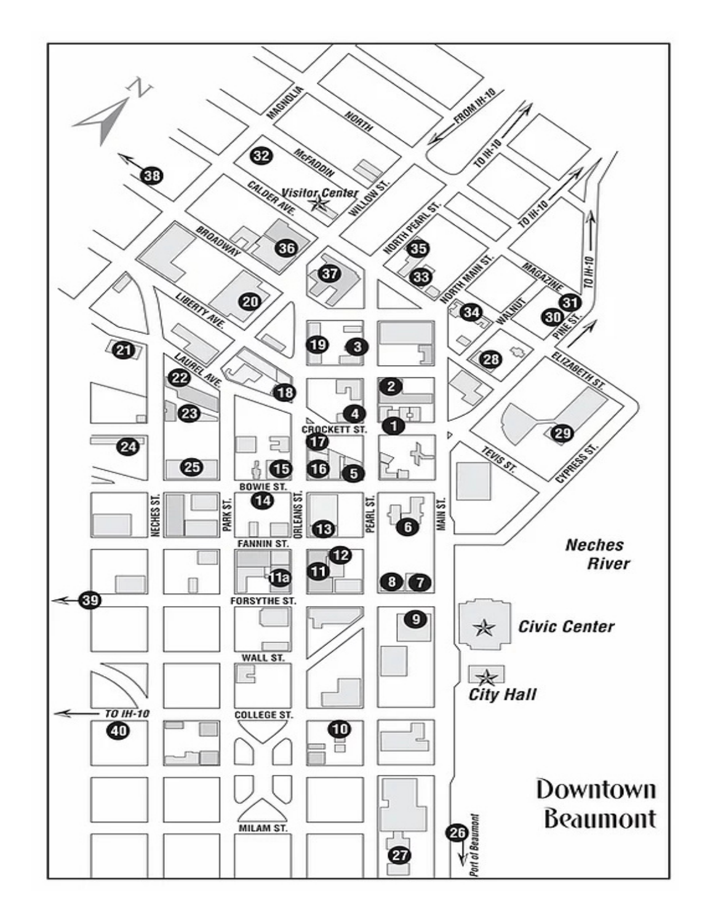